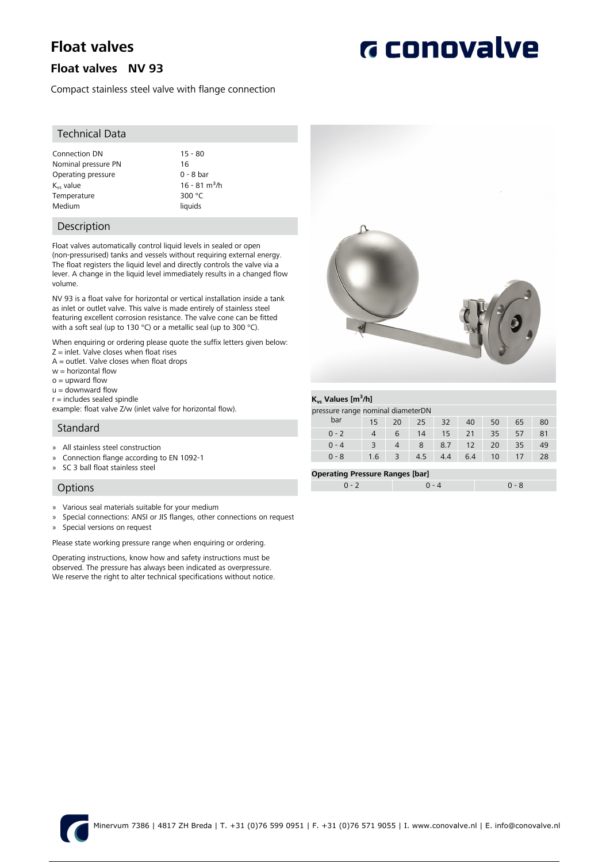# **Float valves**

### **Float valves NV 93**

Compact stainless steel valve with flange connection

#### Technical Data

Connection DN 15 - 80<br>Nominal pressure PN 16 Nominal pressure PN Operating pressure 0 - 8 bar  $K_{vs}$  value 16 - 81 m<sup>3</sup>/h<br>Temperature 300 °C Temperature Medium liquids

#### Description

Float valves automatically control liquid levels in sealed or open (non-pressurised) tanks and vessels without requiring external energy. The float registers the liquid level and directly controls the valve via a lever. A change in the liquid level immediately results in a changed flow volume.

NV 93 is a float valve for horizontal or vertical installation inside a tank as inlet or outlet valve. This valve is made entirely of stainless steel featuring excellent corrosion resistance. The valve cone can be fitted with a soft seal (up to 130 °C) or a metallic seal (up to 300 °C).

When enquiring or ordering please quote the suffix letters given below:  $Z =$  inlet. Valve closes when float rises

- A = outlet. Valve closes when float drops
- w = horizontal flow
- $o =$  upward flow
- $u =$  downward flow
- $r =$  includes sealed spindle

example: float valve Z/w (inlet valve for horizontal flow).

#### Standard

- » All stainless steel construction
- » Connection flange according to EN 1092-1
- » SC 3 ball float stainless steel

#### **Options**

- » Various seal materials suitable for your medium
- » Special connections: ANSI or JIS flanges, other connections on request
- » Special versions on request

Please state working pressure range when enquiring or ordering.

Operating instructions, know how and safety instructions must be observed. The pressure has always been indicated as overpressure. We reserve the right to alter technical specifications without notice.



#### **Kvs Values [m<sup>3</sup> /h]**

| pressure range nominal diameterDN |     |    |     |                 |     |    |    |    |
|-----------------------------------|-----|----|-----|-----------------|-----|----|----|----|
| bar                               | 15  | 20 | 25. | 32              | 40  | 50 | 65 | 80 |
| $0 - 2$                           |     | 6  | 14  | 15 <sub>1</sub> | 21  | 35 | 57 | 81 |
| $0 - 4$                           |     |    |     | 8.7             | 12  | 20 | 35 | 49 |
| $0 - 8$                           | 1.6 |    | 4.5 | 4.4             | 6.4 | 10 |    | 28 |

#### **Operating Pressure Ranges [bar]**

| .   |  |
|-----|--|
| - - |  |
|     |  |



# **G** conovalve